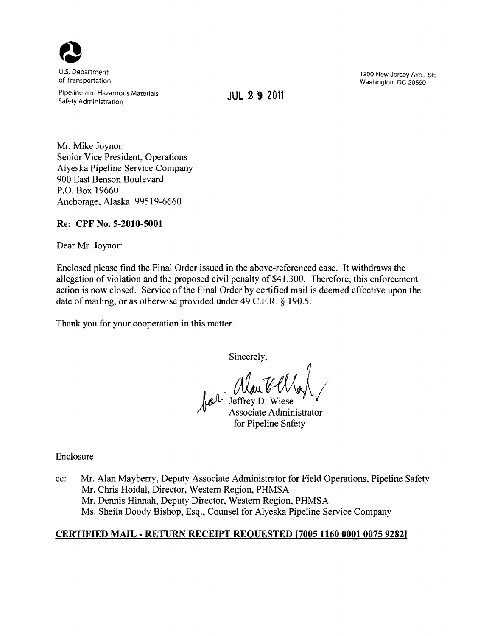

Pipeline and Hazardous Materials JUL 2 "9 <sup>2011</sup> Safety Administration

U.S. Department 1200 New Jersey Ave., SE New Jersey Ave., SE New Jersey Ave., SE New Jersey Ave., SE New Jersey Ave., SE New Jersey Ave., SE New Jersey Ave., SE New Jersey Ave., SE New Jersey Ave., SE New Jersey Ave., SE N Washington, DC 20590

Mr. Mike Joynor Senior Vice President, Operations Alyeska Pipeline Service Company 900 East Benson Boulevard P.O. Box 19660 Anchorage, Alaska 99519-6660

## Re: CPF No. 5-2010-5001

Dear Mr. Joynor:

Enclosed please find the Final Order issued in the above-referenced case. It withdraws the allegation of violation and the proposed civil penalty of \$41 ,300. Therefore, this enforcement action is now closed. Service of the Final Order by certified mail is deemed effective upon the date of mailing, or as otherwise provided under 49 C.F.R. § 190.5.

Thank you for your cooperation in this matter.

Sincerely,

Jeffrey D. Wiese Associate Administrator for Pipeline Safety

Enclosure

cc: Mr. Alan Mayberry, Deputy Associate Administrator for Field Operations, Pipeline Safety Mr. Chris Hoidal, Director, Western Region, PHMSA Mr. Dennis Hinnah, Deputy Director, Western Region, PHMSA Ms. Sheila Doody Bishop, Esq., Counsel for Alyeska Pipeline Service Company

# CERTIFIED MAIL - RETURN RECEIPT REQUESTED [7005 1160 0001 0075 9282]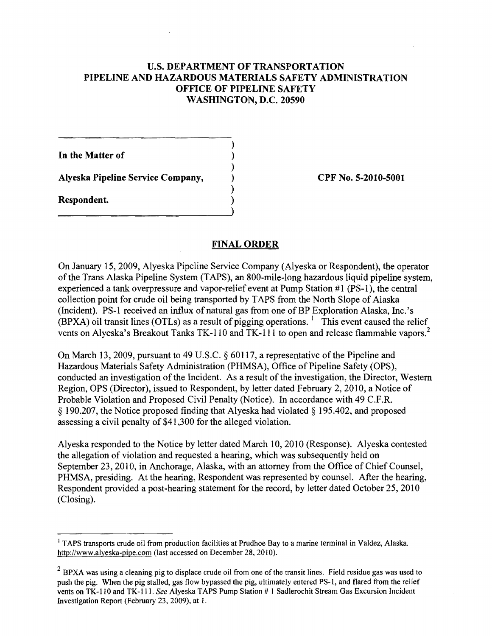## U.S. DEPARTMENT OF TRANSPORTATION PIPELINE AND HAZARDOUS MATERIALS SAFETY ADMINISTRATION OFFICE OF PIPELINE SAFETY WASHINGTON, D.C. 20590

)

)

)

)

In the Matter of

Alyeska Pipeline Service Company, ) CPF No. 5-2010-5001

Respondent. )

# FINAL ORDER

On January 15, 2009, Alyeska Pipeline Service Company (Alyeska or Respondent), the operator ofthe Trans Alaska Pipeline System (TAPS), an 800-mile-Iong hazardous liquid pipeline system, experienced a tank overpressure and vapor-relief event at Pump Station #1 (PS-l), the central collection point for crude oil being transported by TAPS from the North Slope of Alaska (Incident). PS-1 received an influx of natural gas from one of BP Exploration Alaska, Inc.'s  $(BPXA)$  oil transit lines (OTLs) as a result of pigging operations. <sup>1</sup> This event caused the relief vents on Alyeska's Breakout Tanks TK-110 and TK-111 to open and release flammable vapors.<sup>2</sup>

On March 13, 2009, pursuant to 49 U.S.C.  $\S$  60117, a representative of the Pipeline and Hazardous Materials Safety Administration (PHMSA), Office of Pipeline Safety (OPS), conducted an investigation of the Incident. As a result of the investigation, the Director, Western Region, OPS (Director), issued to Respondent, by letter dated February 2, 2010, a Notice of Probable Violation and Proposed Civil Penalty (Notice). In accordance with 49 C.F.R. § 190.207, the Notice proposed finding that Alyeska had violated § 195.402, and proposed assessing a civil penalty of \$41 ,300 for the alleged violation.

Alyeska responded to the Notice by letter dated March 10, 2010 (Response). Alyeska contested the allegation of violation and requested a hearing, which was subsequently held on September 23, 2010, in Anchorage, Alaska, with an attorney from the Office of Chief Counsel, PHMSA, presiding. At the hearing, Respondent was represented by counsel. After the hearing, Respondent provided a post-hearing statement for the record, by letter dated October 25, 2010 (Closing).

<sup>&</sup>lt;sup>1</sup> TAPS transports crude oil from production facilities at Prudhoe Bay to a marine terminal in Valdez, Alaska. http://www.alyeska-pipe.com (last accessed on December 28, 2010).

 $2$  BPXA was using a cleaning pig to displace crude oil from one of the transit lines. Field residue gas was used to push the pig. When the pig stalled, gas flow bypassed the pig, ultimately entered PS-I, and flared from the relief vents on TK-II0 and TK-lll. *See* Alyeska TAPS Pump Station # I Sadlerochit Stream Gas Excursion Incident Investigation Report (February 23, 2009), at 1.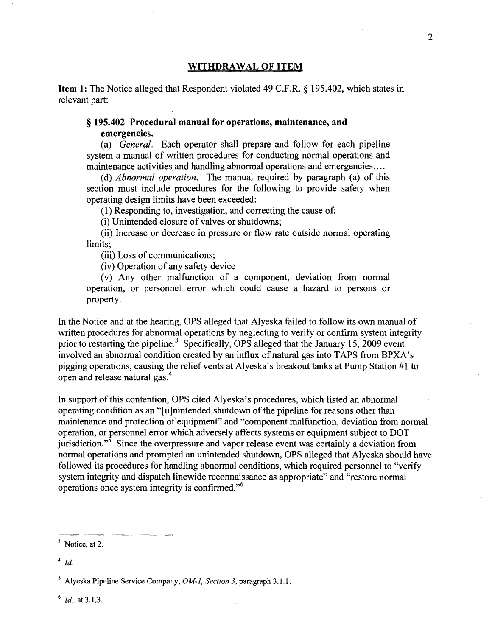#### **WITHDRAWAL OF ITEM**

**Item 1:** The Notice alleged that Respondent violated 49 C.F.R. § 195.402, which states in relevant part:

#### **§ 195.402 Procedural manual for operations, maintenance, and emergencies.**

(a) *General.* Each operator shall prepare and follow for each pipeline system a manual of written procedures for conducting normal operations and maintenance activities and handling abnormal operations and emergencies....

(d) *Abnormal operation.* The manual required by paragraph (a) of this section must include procedures for the following to provide safety when operating design limits have been exceeded:

(1) Responding to, investigation, and correcting the cause of:

(i) Unintended closure of valves or shutdowns;

(ii) Increase or decrease in pressure or flow rate outside normal operating limits;

(iii) Loss of communications;

(iv) Operation of any safety device

(v) Any other malfunction of a component, deviation from nonnal operation, or personnel error which could cause a hazard to persons or property.

In the Notice and at the hearing, OPS alleged that Alyeska failed to follow its own manual of written procedures for abnormal operations by neglecting to verify or confirm system integrity prior to restarting the pipeline.<sup>3</sup> Specifically, OPS alleged that the January 15, 2009 event involved an abnormal condition created by an influx of natural gas into TAPS from BPXA's pigging operations, causing the relief vents at Alyeska's breakout tanks at Pump Station #1 to open and release natural gas.<sup>4</sup>

In support of this contention, OPS cited Alyeska's procedures, which listed an abnormal operating condition as an "[u ]nintended shutdown of the pipeline for reasons other than maintenance and protection of equipment" and "component malfunction, deviation from normal operation, or personnel error which adversely affects systems or equipment subject to DOT jurisdiction."<sup>5</sup> Since the overpressure and vapor release event was certainly a deviation from normal operations and prompted an unintended shutdown, OPS alleged that Alyeska should have followed its procedures for handling abnormal conditions, which required personnel to "verify" system integrity and dispatch linewide reconnaissance as appropriate" and "restore normal operations once system integrity is confirmed."<sup>6</sup>

6 *ld,* at 3.1.3.

 $3$  Notice, at 2.

 $4$   $ld$ 

<sup>5</sup> Alyeska Pipeline Service Company, *OM-i, Section* 3, paragraph 3.1.1.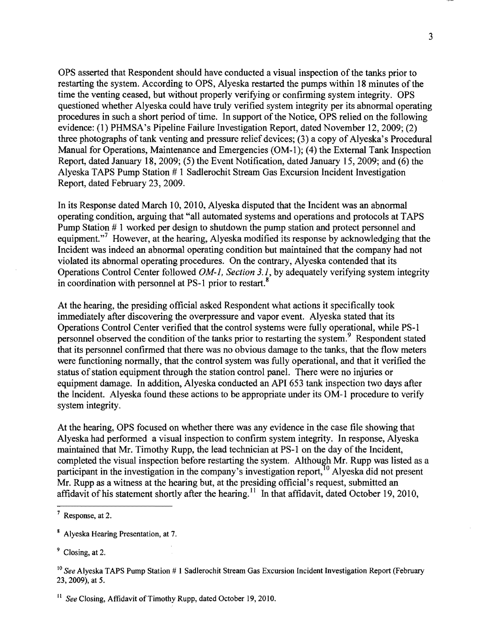OPS asserted that Respondent should have conducted a visual inspection ofthe tanks prior to restarting the system. According to OPS, Alyeska restarted the pumps within 18 minutes of the time the venting ceased, but without properly verifying or confirming system integrity. OPS questioned whether Alyeska could have truly verified system integrity per its abnormal operating procedures in such a short period of time. In support of the Notice, OPS relied on the following evidence: (1) PHMSA's Pipeline Failure Investigation Report, dated November 12,2009; (2) three photographs of tank venting and pressure relief devices; (3) a copy of Alyeska's Procedural Manual for Operations, Maintenance and Emergencies (OM-I); (4) the External Tank Inspection Report, dated January 18,2009; (5) the Event Notification, dated January 15,2009; and (6) the Alyeska TAPS Pump Station # 1 Sadlerochit Stream Gas Excursion Incident Investigation Report, dated February 23,2009.

In its Response dated March 10,2010, Alyeska disputed that the Incident was an abnormal operating condition, arguing that "all automated systems and operations and protocols at TAPS Pump Station # 1 worked per design to shutdown the pump station and protect personnel and equipment."<sup>7</sup> However, at the hearing, Alyeska modified its response by acknowledging that the Incident was indeed an abnormal operating condition but maintained that the company had not violated its abnormal operating procedures. On the contrary, Alyeska contended that its Operations Control Center followed *OM-1, Section* 3.1, by adequately verifying system integrity in coordination with personnel at PS-1 prior to restart.<sup>8</sup>

At the hearing, the presiding official asked Respondent what actions it specifically took immediately after discovering the overpressure and vapor event. Alyeska stated that its Operations Control Center verified that the control systems were fully operational, while PS-l personnel observed the condition of the tanks prior to restarting the system.<sup>9</sup> Respondent stated that its personnel confirmed that there was no obvious damage to the tanks, that the flow meters were functioning normally, that the control system was fully operational, and that it verified the status of station equipment through the station control panel. There were no injuries or equipment damage. In addition, Alyeska conducted an API 653 tank inspection two days after the Incident. Alyeska found these actions to be appropriate under its OM-l procedure to verify system integrity.

At the hearing, OPS focused on whether there was any evidence in the case file showing that Alyeska had performed a visual inspection to confirm system integrity. In response, Alyeska maintained that Mr. Timothy Rupp, the lead technician at PS-1 on the day of the Incident, completed the visual inspection before restarting the system. Although Mr. Rupp was listed as a participant in the investigation in the company's investigation report,  $\frac{10}{10}$  Alyeska did not present Mr. Rupp as a witness at the hearing but, at the presiding official's request, submitted an affidavit of his statement shortly after the hearing.<sup>11</sup> In that affidavit, dated October 19, 2010,

 $<sup>9</sup>$  Closing, at 2.</sup>

<sup>7</sup> Response, at 2.

<sup>8</sup> Alyeska Hearing Presentation, at 7.

<sup>10</sup>*See* Alyeska TAPS Pump Station # 1 Sadlerochit Stream Gas Excursion Incident Investigation Report (February 23,2009), at 5.

<sup>&</sup>lt;sup>11</sup> *See* Closing, Affidavit of Timothy Rupp, dated October 19, 2010.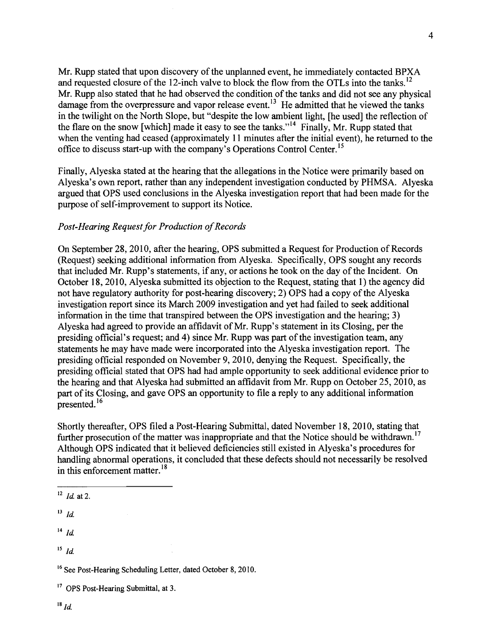Mr. Rupp stated that upon discovery of the unplanned event, he immediately contacted BPXA and requested closure of the 12-inch valve to block the flow from the OTLs into the tanks.<sup>12</sup> Mr. Rupp also stated that he had observed the condition of the tanks and did not see any physical damage from the overpressure and vapor release event.<sup>13</sup> He admitted that he viewed the tanks in the twilight on the North Slope, but "despite the low ambient light, [he used] the reflection of the flare on the snow [which] made it easy to see the tanks."<sup>14</sup> Finally, Mr. Rupp stated that when the venting had ceased (approximately 11 minutes after the initial event), he returned to the office to discuss start-up with the company's Operations Control Center.<sup>15</sup>

Finally, Alyeska stated at the hearing that the allegations in the Notice were primarily based on Alyeska's own report, rather than any independent investigation conducted by PHMSA. Alyeska argued that OPS used conclusions in the Alyeska investigation report that had been made for the purpose of self-improvement to support its Notice.

### *Post-Hearing Request for Production of Records*

On September 28,2010, after the hearing, OPS submitted a Request for Production of Records (Request) seeking additional information from Alyeska. Specifically, OPS sought any records that included Mr. Rupp's statements, if any, or actions he took on the day of the Incident. On October 18,2010, Alyeska submitted its objection to the Request, stating that 1) the agency did not have regulatory authority for post-hearing discovery; 2) OPS had a copy of the Alyeska investigation report since its March 2009 investigation and yet had failed to seek additional information in the time that transpired between the OPS investigation and the hearing; 3) Alyeska had agreed to provide an affidavit of Mr. Rupp's statement in its Closing, per the presiding official's request; and 4) since Mr. Rupp was part of the investigation team, any statements he may have made were incorporated into the Alyeska investigation report. The presiding official responded on November 9, 2010, denying the Request. Specifically, the presiding official stated that OPS had had ample opportunity to seek additional evidence prior to the hearing and that Alyeska had submitted an affidavit from Mr. Rupp on October 25, 2010, as part of its Closing, and gave OPS an opportunity to file a reply to any additional information presented.<sup>16</sup>

Shortly thereafter, OPS filed a Post-Hearing Submittal, dated November 18, 2010, stating that further prosecution of the matter was inappropriate and that the Notice should be withdrawn.<sup>17</sup> Although OPS indicated that it believed deficiencies still existed in Alyeska's procedures for handling abnormal operations, it concluded that these defects should not necessarily be resolved in this enforcement matter.<sup>18</sup>

- $14$  *Id.*
- $15$   $1d$ .

 $12$  *Id.* at 2.

 $13$  *Id.* 

<sup>16</sup> See Post-Hearing Scheduling Letter, dated October 8, 2010.

<sup>&</sup>lt;sup>17</sup> OPS Post-Hearing Submittal, at 3.